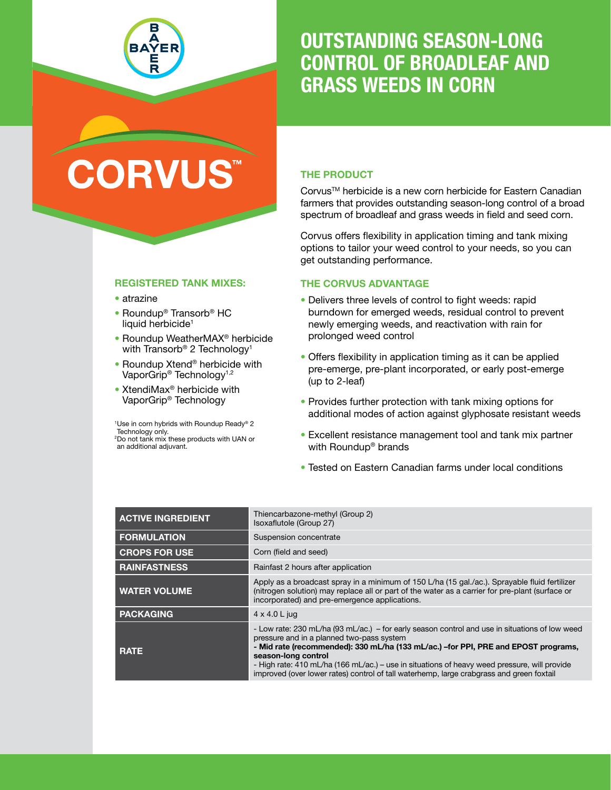

# OUTSTANDING SEASON-LONG CONTROL OF BROADLEAF AND GRASS WEEDS IN CORN

# **CORVU**

# THE PRODUCT

CorvusTM herbicide is a new corn herbicide for Eastern Canadian farmers that provides outstanding season-long control of a broad spectrum of broadleaf and grass weeds in field and seed corn.

Corvus offers flexibility in application timing and tank mixing options to tailor your weed control to your needs, so you can get outstanding performance.

## THE CORVUS ADVANTAGE

- Delivers three levels of control to fight weeds: rapid burndown for emerged weeds, residual control to prevent newly emerging weeds, and reactivation with rain for prolonged weed control
- Offers flexibility in application timing as it can be applied pre-emerge, pre-plant incorporated, or early post-emerge (up to 2-leaf)
- Provides further protection with tank mixing options for additional modes of action against glyphosate resistant weeds
- Excellent resistance management tool and tank mix partner with Roundup® brands
- Tested on Eastern Canadian farms under local conditions

| <b>ACTIVE INGREDIENT</b> | Thiencarbazone-methyl (Group 2)<br>Isoxaflutole (Group 27)                                                                                                                                                                                                                                                                                                                                                                                            |
|--------------------------|-------------------------------------------------------------------------------------------------------------------------------------------------------------------------------------------------------------------------------------------------------------------------------------------------------------------------------------------------------------------------------------------------------------------------------------------------------|
| <b>FORMULATION</b>       | Suspension concentrate                                                                                                                                                                                                                                                                                                                                                                                                                                |
| <b>CROPS FOR USE</b>     | Corn (field and seed)                                                                                                                                                                                                                                                                                                                                                                                                                                 |
| <b>RAINFASTNESS</b>      | Rainfast 2 hours after application                                                                                                                                                                                                                                                                                                                                                                                                                    |
| <b>WATER VOLUME</b>      | Apply as a broadcast spray in a minimum of 150 L/ha (15 gal./ac.). Sprayable fluid fertilizer<br>(nitrogen solution) may replace all or part of the water as a carrier for pre-plant (surface or<br>incorporated) and pre-emergence applications.                                                                                                                                                                                                     |
| <b>PACKAGING</b>         | $4 \times 4.0$ L jug                                                                                                                                                                                                                                                                                                                                                                                                                                  |
| <b>RATE</b>              | - Low rate: 230 mL/ha (93 mL/ac.) – for early season control and use in situations of low weed<br>pressure and in a planned two-pass system<br>- Mid rate (recommended): 330 mL/ha (133 mL/ac.) - for PPI, PRE and EPOST programs,<br>season-long control<br>- High rate: 410 mL/ha (166 mL/ac.) – use in situations of heavy weed pressure, will provide<br>improved (over lower rates) control of tall waterhemp, large crabgrass and green foxtail |

#### REGISTERED TANK MIXES:

- atrazine atrazine
- Roundup<sup>®</sup> Transorb<sup>®</sup> HC liquid herbicide<sup>1</sup>
- Roundup WeatherMAX<sup>®</sup> herbicide with Transorb® 2 Technology1 2 Technology<sup>1</sup>
- Roundup Xtend<sup>®</sup> herbicide with VaporGrip® Technology1,2 Technology<sup>1,2</sup>
- XtendiMax<sup>®</sup> herbicide with VaporGrip® Technology Technology

<sup>1</sup>Use in corn hybrids with Roundup Ready® 2 Technology only.<br><sup>2</sup>Do not tank mix t <sup>2</sup>Do not tank mix these products with UAN or an additional adjuvant.